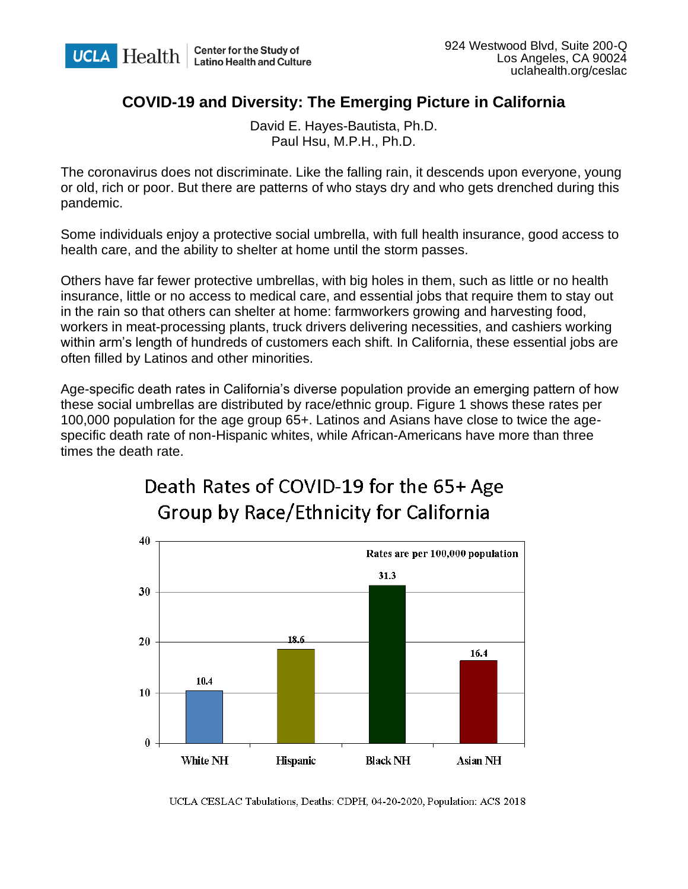

## **COVID-19 and Diversity: The Emerging Picture in California**

David E. Hayes-Bautista, Ph.D. Paul Hsu, M.P.H., Ph.D.

The coronavirus does not discriminate. Like the falling rain, it descends upon everyone, young or old, rich or poor. But there are patterns of who stays dry and who gets drenched during this pandemic.

Some individuals enjoy a protective social umbrella, with full health insurance, good access to health care, and the ability to shelter at home until the storm passes.

Others have far fewer protective umbrellas, with big holes in them, such as little or no health insurance, little or no access to medical care, and essential jobs that require them to stay out in the rain so that others can shelter at home: farmworkers growing and harvesting food, workers in meat-processing plants, truck drivers delivering necessities, and cashiers working within arm's length of hundreds of customers each shift. In California, these essential jobs are often filled by Latinos and other minorities.

Age-specific death rates in California's diverse population provide an emerging pattern of how these social umbrellas are distributed by race/ethnic group. Figure 1 shows these rates per 100,000 population for the age group 65+. Latinos and Asians have close to twice the agespecific death rate of non-Hispanic whites, while African-Americans have more than three times the death rate.



## Death Rates of COVID-19 for the 65+ Age **Group by Race/Ethnicity for California**

UCLA CESLAC Tabulations, Deaths: CDPH, 04-20-2020, Population: ACS 2018